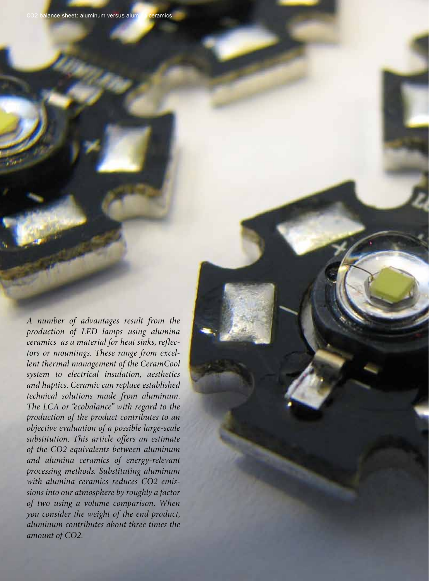*A number of advantages result from the production of LED lamps using alumina ceramics as a material for heat sinks, reflectors or mountings. These range from excellent thermal management of the CeramCool system to electrical insulation, aesthetics and haptics. Ceramic can replace established technical solutions made from aluminum. The LCA or "ecobalance" with regard to the production of the product contributes to an objective evaluation of a possible large-scale substitution. This article offers an estimate of the CO2 equivalents between aluminum and alumina ceramics of energy-relevant processing methods. Substituting aluminum with alumina ceramics reduces CO2 emissions into our atmosphere by roughly a factor of two using a volume comparison. When you consider the weight of the end product, aluminum contributes about three times the amount of CO2.*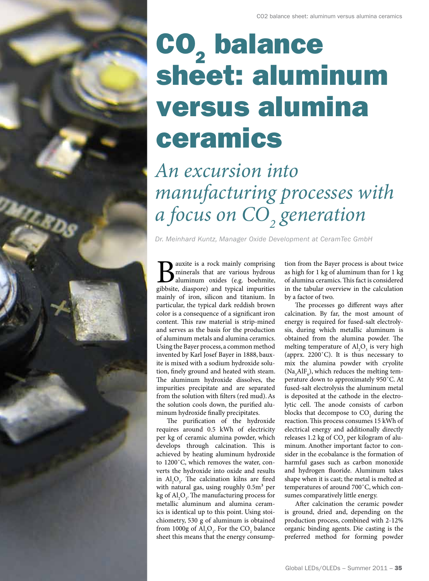## **CO<sub>2</sub>** balance sheet: aluminum versus alumina ceramics

## *An excursion into manufacturing processes with a focus on CO2 generation*

*Dr. Meinhard Kuntz, Manager Oxide Development at CeramTec GmbH* 

**B** auxite is a rock mainly comprising<br>aluminum oxides (e.g. boehmite,<br>gibbsite, diaspore) and typical impurities minerals that are various hydrous aluminum oxides (e.g. boehmite, gibbsite, diaspore) and typical impurities mainly of iron, silicon and titanium. In particular, the typical dark reddish brown color is a consequence of a significant iron content. This raw material is strip-mined and serves as the basis for the production of aluminum metals and alumina ceramics. Using the Bayer process, a common method invented by Karl Josef Bayer in 1888, bauxite is mixed with a sodium hydroxide solution, finely ground and heated with steam. The aluminum hydroxide dissolves, the impurities precipitate and are separated from the solution with filters (red mud). As the solution cools down, the purified aluminum hydroxide finally precipitates.

A.R. RDS

The purification of the hydroxide requires around 0.5 kWh of electricity per kg of ceramic alumina powder, which develops through calcination. This is achieved by heating aluminum hydroxide to 1200˚C, which removes the water, converts the hydroxide into oxide and results in  $\text{Al}_2\text{O}_3$ . The calcination kilns are fired with natural gas, using roughly  $0.5m<sup>3</sup>$  per kg of  $\mathrm{Al}_2\mathrm{O}_3$ . The manufacturing process for metallic aluminum and alumina ceramics is identical up to this point. Using stoichiometry, 530 g of aluminum is obtained from 1000g of  $\mathrm{Al}_2\mathrm{O}_3$ . For the CO<sub>2</sub> balance sheet this means that the energy consumption from the Bayer process is about twice as high for 1 kg of aluminum than for 1 kg of alumina ceramics. This fact is considered in the tabular overview in the calculation by a factor of two.

The processes go different ways after calcination. By far, the most amount of energy is required for fused-salt electrolysis, during which metallic aluminum is obtained from the alumina powder. The melting temperature of  $\text{Al}_2\text{O}_3$  is very high (apprx. 2200˚C). It is thus necessary to mix the alumina powder with cryolite ( $\text{Na}_3\text{AlF}_6$ ), which reduces the melting temperature down to approximately 950˚C. At fused-salt electrolysis the aluminum metal is deposited at the cathode in the electrolytic cell. The anode consists of carbon blocks that decompose to  $CO<sub>2</sub>$  during the reaction. This process consumes 15 kWh of electrical energy and additionally directly releases 1.2 kg of  $\mathrm{CO}_2$  per kilogram of aluminum. Another important factor to consider in the ecobalance is the formation of harmful gases such as carbon monoxide and hydrogen fluoride. Aluminum takes shape when it is cast; the metal is melted at temperatures of around 700˚C, which consumes comparatively little energy.

After calcination the ceramic powder is ground, dried and, depending on the production process, combined with 2-12% organic binding agents. Die casting is the preferred method for forming powder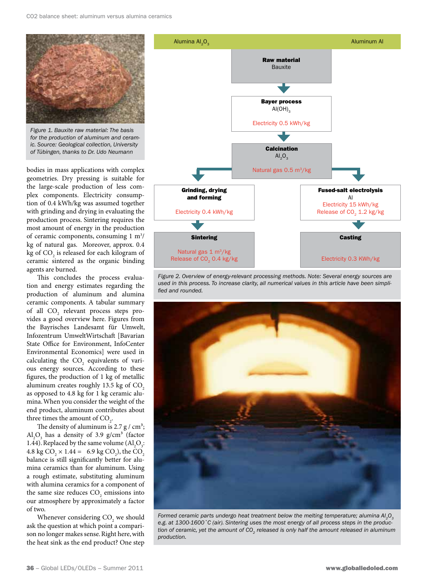

*Figure 1. Bauxite raw material: The basis for the production of aluminum and ceramic. Source: Geological collection, University of Tübingen, thanks to Dr. Udo Neumann*

bodies in mass applications with complex geometries. Dry pressing is suitable for the large-scale production of less complex components. Electricity consumption of 0.4 kWh/kg was assumed together with grinding and drying in evaluating the production process. Sintering requires the most amount of energy in the production of ceramic components, consuming 1 m<sup>3</sup>/ kg of natural gas. Moreover, approx. 0.4 kg of  $\mathrm{CO}_2$  is released for each kilogram of ceramic sintered as the organic binding agents are burned.

This concludes the process evaluation and energy estimates regarding the production of aluminum and alumina ceramic components. A tabular summary of all CO<sub>2</sub> relevant process steps provides a good overview here. Figures from the Bayrisches Landesamt für Umwelt, Infozentrum UmweltWirtschaft [Bavarian State Office for Environment, InfoCenter Environmental Economics] were used in calculating the  $CO<sub>2</sub>$  equivalents of various energy sources. According to these figures, the production of 1 kg of metallic aluminum creates roughly  $13.5$  kg of  $CO<sub>2</sub>$ as opposed to 4.8 kg for 1 kg ceramic alumina. When you consider the weight of the end product, aluminum contributes about three times the amount of  $CO<sub>2</sub>$ .

The density of aluminum is 2.7 g /  $\text{cm}^3$ ;  $\text{Al}_2\text{O}_3$  has a density of 3.9 g/cm<sup>3</sup> (factor 1.44). Replaced by the same volume  $(Al_2O_3)$ : 4.8 kg CO<sub>2</sub>  $\times$  1.44 = 6.9 kg CO<sub>2</sub>), the CO<sub>2</sub> balance is still significantly better for alumina ceramics than for aluminum. Using a rough estimate, substituting aluminum with alumina ceramics for a component of the same size reduces  $CO_2$  emissions into our atmosphere by approximately a factor of two.

Whenever considering  $\mathrm{CO}_2$  we should ask the question at which point a comparison no longer makes sense. Right here, with the heat sink as the end product? One step



*Figure 2. Overview of energy-relevant processing methods. Note: Several energy sources are used in this process. To increase clarity, all numerical values in this article have been simplified and rounded.*



*Formed ceramic parts undergo heat treatment below the melting temperature; alumina Al<sub>2</sub>O<sub>3</sub> e.g. at 1300-1600˚C (air). Sintering uses the most energy of all process steps in the production of ceramic, yet the amount of CO<sub>2</sub> released is only half the amount released in aluminum production.*